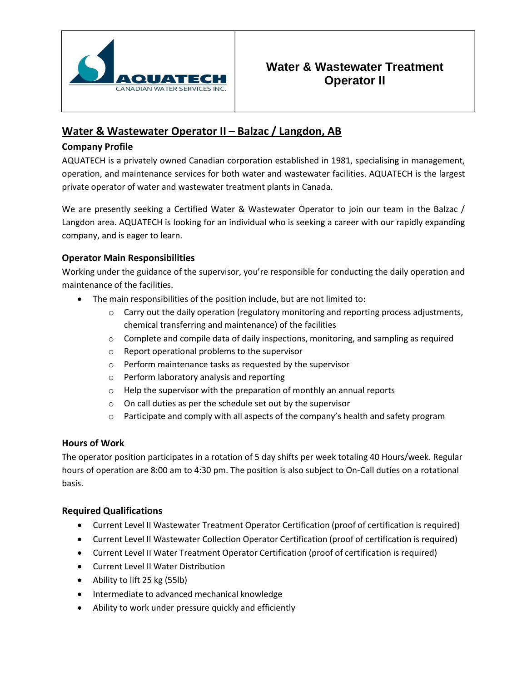

# **Water & Wastewater Treatment Operator II**

## **Water & Wastewater Operator II – Balzac / Langdon, AB**

## **Company Profile**

AQUATECH is a privately owned Canadian corporation established in 1981, specialising in management, operation, and maintenance services for both water and wastewater facilities. AQUATECH is the largest private operator of water and wastewater treatment plants in Canada.

We are presently seeking a Certified Water & Wastewater Operator to join our team in the Balzac / Langdon area. AQUATECH is looking for an individual who is seeking a career with our rapidly expanding company, and is eager to learn.

## **Operator Main Responsibilities**

Working under the guidance of the supervisor, you're responsible for conducting the daily operation and maintenance of the facilities.

- The main responsibilities of the position include, but are not limited to:
	- $\circ$  Carry out the daily operation (regulatory monitoring and reporting process adjustments, chemical transferring and maintenance) of the facilities
	- o Complete and compile data of daily inspections, monitoring, and sampling as required
	- o Report operational problems to the supervisor
	- o Perform maintenance tasks as requested by the supervisor
	- o Perform laboratory analysis and reporting
	- o Help the supervisor with the preparation of monthly an annual reports
	- o On call duties as per the schedule set out by the supervisor
	- $\circ$  Participate and comply with all aspects of the company's health and safety program

### **Hours of Work**

The operator position participates in a rotation of 5 day shifts per week totaling 40 Hours/week. Regular hours of operation are 8:00 am to 4:30 pm. The position is also subject to On-Call duties on a rotational basis.

### **Required Qualifications**

- Current Level II Wastewater Treatment Operator Certification (proof of certification is required)
- Current Level II Wastewater Collection Operator Certification (proof of certification is required)
- Current Level II Water Treatment Operator Certification (proof of certification is required)
- Current Level II Water Distribution
- Ability to lift 25 kg (55lb)
- Intermediate to advanced mechanical knowledge
- Ability to work under pressure quickly and efficiently